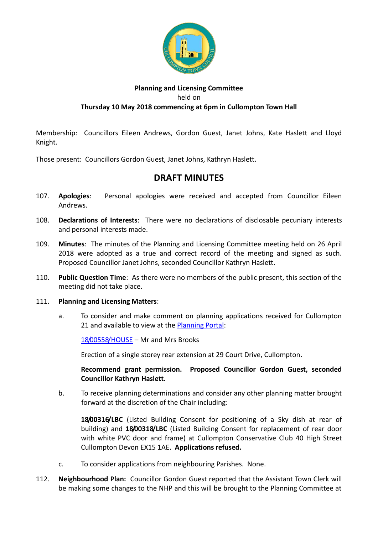

## **Planning and Licensing Committee** held on **Thursday 10 May 2018 commencing at 6pm in Cullompton Town Hall**

Membership: Councillors Eileen Andrews, Gordon Guest, Janet Johns, Kate Haslett and Lloyd Knight.

Those present: Councillors Gordon Guest, Janet Johns, Kathryn Haslett.

## **DRAFT MINUTES**

- 107. **Apologies**: Personal apologies were received and accepted from Councillor Eileen Andrews.
- 108. **Declarations of Interests**: There were no declarations of disclosable pecuniary interests and personal interests made.
- 109. **Minutes**: The minutes of the Planning and Licensing Committee meeting held on 26 April 2018 were adopted as a true and correct record of the meeting and signed as such. Proposed Councillor Janet Johns, seconded Councillor Kathryn Haslett.
- 110. **Public Question Time**: As there were no members of the public present, this section of the meeting did not take place.

## 111. **Planning and Licensing Matters**:

a. To consider and make comment on planning applications received for Cullompton 21 and available to view at the [Planning Portal:](https://planning.middevon.gov.uk/online-applications/search.do?action=simple&searchType=BuildingControl)

[18/00558/HOUSE](https://planning.middevon.gov.uk/online-applications/applicationDetails.do?activeTab=documents&keyVal=P6R4THKSKAY00) – Mr and Mrs Brooks

Erection of a single storey rear extension at 29 Court Drive, Cullompton.

**Recommend grant permission. Proposed Councillor Gordon Guest, seconded Councillor Kathryn Haslett.**

b. To receive planning determinations and consider any other planning matter brought forward at the discretion of the Chair including:

**18/00316/LBC** (Listed Building Consent for positioning of a Sky dish at rear of building) and **18/00318/LBC** (Listed Building Consent for replacement of rear door with white PVC door and frame) at Cullompton Conservative Club 40 High Street Cullompton Devon EX15 1AE. **Applications refused.**

- c. To consider applications from neighbouring Parishes. None.
- 112. **Neighbourhood Plan:** Councillor Gordon Guest reported that the Assistant Town Clerk will be making some changes to the NHP and this will be brought to the Planning Committee at